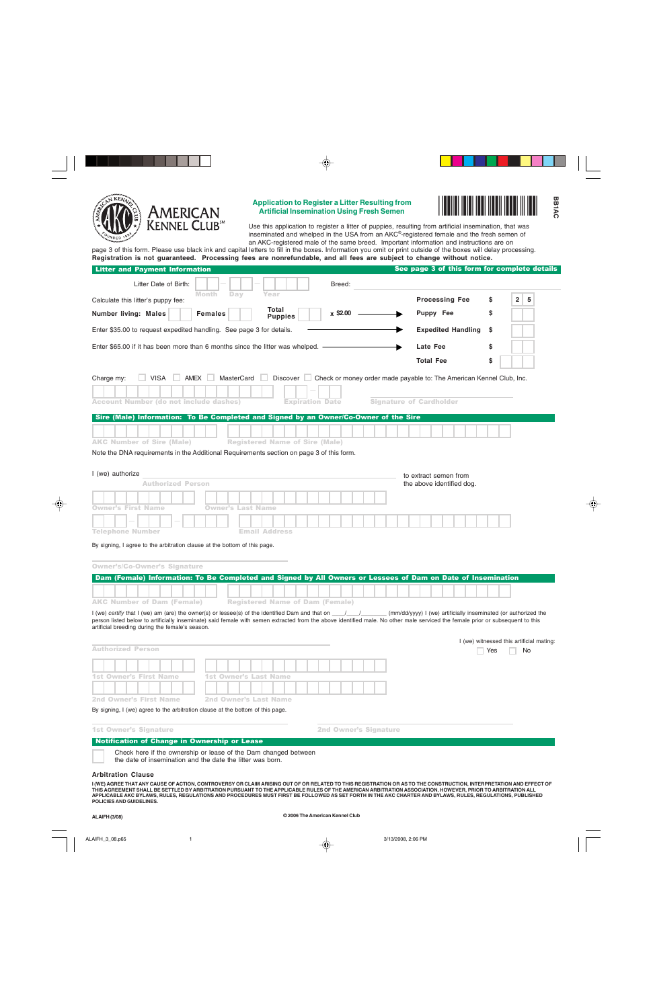

## **Application to Register a Litter Resulting from Artificial Insemination Using Fresh Semen** -



Use this application to register a litter of puppies, resulting from artificial insemination, that was inseminated and whelped in the USA from an AKC®-registered female and the fresh semen of an AKC-registered male of the same breed. Important information and instructions are on

page 3 of this form. Please use black ink and capital letters to fill in the boxes. Information you omit or print outside of the boxes will delay processing. **Registration is not guaranteed. Processing fees are nonrefundable, and all fees are subject to change without notice.**

| <b>Litter and Payment Information</b><br>Litter Date of Birth:<br>Breed:<br>Month<br>Day<br>Year<br>Calculate this litter's puppy fee:<br>Total<br>$x$ \$2.00 -<br><b>Number living: Males</b><br><b>Females</b><br><b>Puppies</b>                                                                     | See page 3 of this form for complete details<br><b>Processing Fee</b> |     |                                          |
|--------------------------------------------------------------------------------------------------------------------------------------------------------------------------------------------------------------------------------------------------------------------------------------------------------|-----------------------------------------------------------------------|-----|------------------------------------------|
|                                                                                                                                                                                                                                                                                                        |                                                                       |     |                                          |
|                                                                                                                                                                                                                                                                                                        |                                                                       |     |                                          |
|                                                                                                                                                                                                                                                                                                        |                                                                       | s   | 2 <sup>1</sup><br>5                      |
|                                                                                                                                                                                                                                                                                                        | Puppy Fee                                                             | S   |                                          |
| Enter \$35.00 to request expedited handling. See page 3 for details.                                                                                                                                                                                                                                   | <b>Expedited Handling</b>                                             | \$  |                                          |
| Enter \$65.00 if it has been more than 6 months since the litter was whelped. $-$                                                                                                                                                                                                                      | Late Fee                                                              | \$  |                                          |
|                                                                                                                                                                                                                                                                                                        | <b>Total Fee</b>                                                      | \$  |                                          |
| VISA<br>AMEX I<br>MasterCard Discover Check or money order made payable to: The American Kennel Club, Inc.<br>Charge my:                                                                                                                                                                               |                                                                       |     |                                          |
|                                                                                                                                                                                                                                                                                                        |                                                                       |     |                                          |
| <b>Account Number (do not include dashes)</b><br><b>Expiration Date</b>                                                                                                                                                                                                                                | <b>Signature of Cardholder</b>                                        |     |                                          |
| Sire (Male) Information: To Be Completed and Signed by an Owner/Co-Owner of the Sire                                                                                                                                                                                                                   |                                                                       |     |                                          |
|                                                                                                                                                                                                                                                                                                        |                                                                       |     |                                          |
| <b>AKC Number of Sire (Male)</b><br><b>Registered Name of Sire (Male)</b>                                                                                                                                                                                                                              |                                                                       |     |                                          |
| Note the DNA requirements in the Additional Requirements section on page 3 of this form.                                                                                                                                                                                                               |                                                                       |     |                                          |
|                                                                                                                                                                                                                                                                                                        |                                                                       |     |                                          |
| I (we) authorize                                                                                                                                                                                                                                                                                       | to extract semen from                                                 |     |                                          |
| <b>Authorized Person</b>                                                                                                                                                                                                                                                                               | the above identified dog.                                             |     |                                          |
| <b>Owner's First Name</b><br><b>Owner's Last Name</b>                                                                                                                                                                                                                                                  |                                                                       |     |                                          |
|                                                                                                                                                                                                                                                                                                        |                                                                       |     |                                          |
| <b>Telephone Number</b><br><b>Email Address</b>                                                                                                                                                                                                                                                        |                                                                       |     |                                          |
| By signing, I agree to the arbitration clause at the bottom of this page.                                                                                                                                                                                                                              |                                                                       |     |                                          |
|                                                                                                                                                                                                                                                                                                        |                                                                       |     |                                          |
| <b>Owner's/Co-Owner's Signature</b>                                                                                                                                                                                                                                                                    |                                                                       |     |                                          |
| Dam (Female) Information: To Be Completed and Signed by All Owners or Lessees of Dam on Date of Insemination                                                                                                                                                                                           |                                                                       |     |                                          |
|                                                                                                                                                                                                                                                                                                        |                                                                       |     |                                          |
| <b>AKC Number of Dam (Female)</b><br><b>Registered Name of Dam (Female)</b>                                                                                                                                                                                                                            |                                                                       |     |                                          |
| I (we) certify that I (we) am (are) the owner(s) or lessee(s) of the identified Dam and that on $\frac{1}{\sqrt{2}}$<br>person listed below to artificially inseminate) said female with semen extracted from the above identified male. No other male serviced the female prior or subsequent to this | (mm/dd/yyyy) I (we) artificially inseminated (or authorized the       |     |                                          |
| artificial breeding during the female's season.                                                                                                                                                                                                                                                        |                                                                       |     |                                          |
| <b>Authorized Person</b>                                                                                                                                                                                                                                                                               |                                                                       |     | I (we) witnessed this artificial mating: |
|                                                                                                                                                                                                                                                                                                        |                                                                       | Yes | <b>No</b>                                |
|                                                                                                                                                                                                                                                                                                        |                                                                       |     |                                          |
| 1st Owner's First Name<br><b>1st Owner's Last Name</b>                                                                                                                                                                                                                                                 |                                                                       |     |                                          |
| <b>2nd Owner's First Name</b><br><b>2nd Owner's Last Name</b>                                                                                                                                                                                                                                          |                                                                       |     |                                          |
| By signing, I (we) agree to the arbitration clause at the bottom of this page.                                                                                                                                                                                                                         |                                                                       |     |                                          |
|                                                                                                                                                                                                                                                                                                        |                                                                       |     |                                          |
| <b>1st Owner's Signature</b><br><b>2nd Owner's Signature</b>                                                                                                                                                                                                                                           |                                                                       |     |                                          |
| Notification of Change in Ownership or Lease                                                                                                                                                                                                                                                           |                                                                       |     |                                          |

the date of insemination and the date the litter was born.

## **Arbitration Clause**

**I (WE) AGREE THAT ANY CAUSE OF ACTION, CONTROVERSY OR CLAIM ARISING OUT OF OR RELATED TO THIS REGISTRATION OR AS TO THE CONSTRUCTION, INTERPRETATION AND EFFECT OF THIS AGREEMENT SHALL BE SETTLED BY ARBITRATION PURSUANT TO THE APPLICABLE RULES OF THE AMERICAN ARBITRATION ASSOCIATION. HOWEVER, PRIOR TO ARBITRATION ALL APPLICABLE AKC BYLAWS, RULES, REGULATIONS AND PROCEDURES MUST FIRST BE FOLLOWED AS SET FORTH IN THE AKC CHARTER AND BYLAWS, RULES, REGULATIONS, PUBLISHED POLICIES AND GUIDELINES.**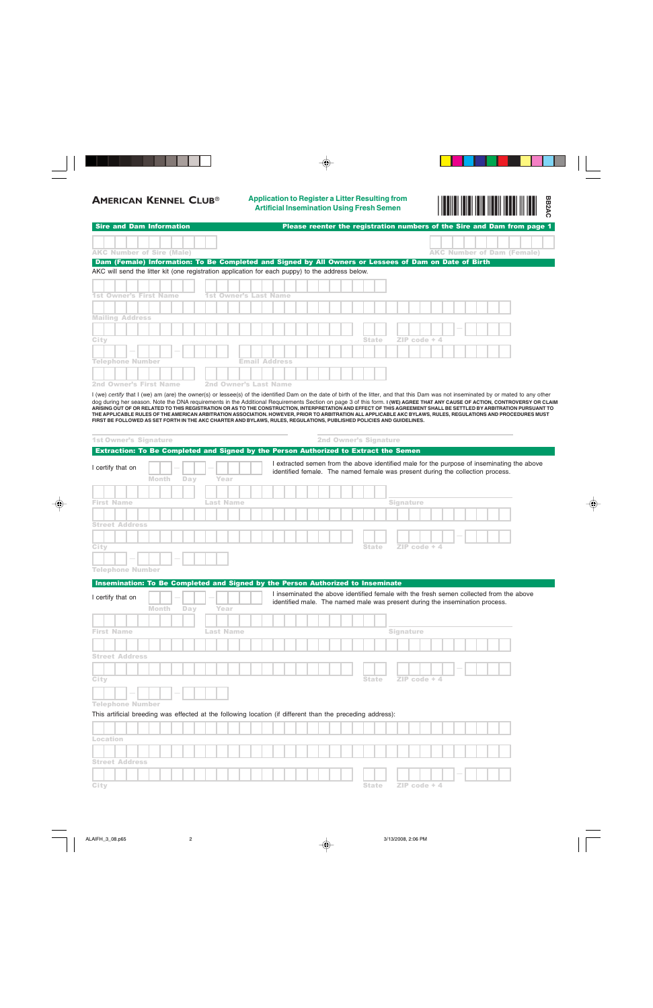**AMERICAN KENNEL CLUB**® **Application to Register a Litter Resulting from Artificial Insemination Using Fresh Semen** -



|                                                                                                                                                                                                                                                                                                                                                                       |                              |                                                                              | $\frac{1}{2}$ in the case of the contract of the case of the case of the case of the case of the case of the case of the case of the case of the case of the case of the case of the case of the case of the case of the case of |
|-----------------------------------------------------------------------------------------------------------------------------------------------------------------------------------------------------------------------------------------------------------------------------------------------------------------------------------------------------------------------|------------------------------|------------------------------------------------------------------------------|----------------------------------------------------------------------------------------------------------------------------------------------------------------------------------------------------------------------------------|
| <b>Sire and Dam Information</b>                                                                                                                                                                                                                                                                                                                                       |                              |                                                                              | Please reenter the registration numbers of the Sire and Dam from page 1                                                                                                                                                          |
|                                                                                                                                                                                                                                                                                                                                                                       |                              |                                                                              |                                                                                                                                                                                                                                  |
| <b>AKC Number of Sire (Male)</b>                                                                                                                                                                                                                                                                                                                                      |                              |                                                                              | <b>AKC Number of Dam (Female)</b>                                                                                                                                                                                                |
| Dam (Female) Information: To Be Completed and Signed by All Owners or Lessees of Dam on Date of Birth                                                                                                                                                                                                                                                                 |                              |                                                                              |                                                                                                                                                                                                                                  |
| AKC will send the litter kit (one registration application for each puppy) to the address below.                                                                                                                                                                                                                                                                      |                              |                                                                              |                                                                                                                                                                                                                                  |
|                                                                                                                                                                                                                                                                                                                                                                       |                              |                                                                              |                                                                                                                                                                                                                                  |
| <b>1st Owner's First Name</b>                                                                                                                                                                                                                                                                                                                                         | <b>1st Owner's Last Name</b> |                                                                              |                                                                                                                                                                                                                                  |
|                                                                                                                                                                                                                                                                                                                                                                       |                              |                                                                              |                                                                                                                                                                                                                                  |
| <b>Mailing Address</b>                                                                                                                                                                                                                                                                                                                                                |                              |                                                                              |                                                                                                                                                                                                                                  |
|                                                                                                                                                                                                                                                                                                                                                                       |                              |                                                                              |                                                                                                                                                                                                                                  |
| City                                                                                                                                                                                                                                                                                                                                                                  |                              | ZIP code + 4<br><b>State</b>                                                 |                                                                                                                                                                                                                                  |
|                                                                                                                                                                                                                                                                                                                                                                       |                              |                                                                              |                                                                                                                                                                                                                                  |
| Telephone Number                                                                                                                                                                                                                                                                                                                                                      | <b>Email Address</b>         |                                                                              |                                                                                                                                                                                                                                  |
|                                                                                                                                                                                                                                                                                                                                                                       |                              |                                                                              |                                                                                                                                                                                                                                  |
| <b>2nd Owner's First Name</b>                                                                                                                                                                                                                                                                                                                                         | 2nd Owner's Last Name        |                                                                              |                                                                                                                                                                                                                                  |
| I (we) certify that I (we) am (are) the owner(s) or lessee(s) of the identified Dam on the date of birth of the litter, and that this Dam was not inseminated by or mated to any other<br>dog during her season. Note the DNA requirements in the Additional Requirements Section on page 3 of this form. I (WE) AGREE THAT ANY CAUSE OF ACTION, CONTROVERSY OR CLAIM |                              |                                                                              |                                                                                                                                                                                                                                  |
| ARISING OUT OF OR RELATED TO THIS REGISTRATION OR AS TO THE CONSTRUCTION, INTERPRETATION AND EFFECT OF THIS AGREEMENT SHALL BE SETTLED BY ARBITRATION PURSUANT TO                                                                                                                                                                                                     |                              |                                                                              |                                                                                                                                                                                                                                  |
| THE APPLICABLE RULES OF THE AMERICAN ARBITRATION ASSOCIATION. HOWEVER, PRIOR TO ARBITRATION ALL APPLICABLE AKC BYLAWS, RULES, REGULATIONS AND PROCEDURES MUST<br>FIRST BE FOLLOWED AS SET FORTH IN THE AKC CHARTER AND BYLAWS, RULES, REGULATIONS, PUBLISHED POLICIES AND GUIDELINES.                                                                                 |                              |                                                                              |                                                                                                                                                                                                                                  |
|                                                                                                                                                                                                                                                                                                                                                                       |                              |                                                                              |                                                                                                                                                                                                                                  |
| <b>1st Owner's Signature</b>                                                                                                                                                                                                                                                                                                                                          |                              | <b>2nd Owner's Signature</b>                                                 |                                                                                                                                                                                                                                  |
| Extraction: To Be Completed and Signed by the Person Authorized to Extract the Semen                                                                                                                                                                                                                                                                                  |                              |                                                                              |                                                                                                                                                                                                                                  |
|                                                                                                                                                                                                                                                                                                                                                                       |                              |                                                                              | I extracted semen from the above identified male for the purpose of inseminating the above                                                                                                                                       |
| I certify that on                                                                                                                                                                                                                                                                                                                                                     |                              |                                                                              | identified female. The named female was present during the collection process.                                                                                                                                                   |
| <b>Month</b><br>Day                                                                                                                                                                                                                                                                                                                                                   | Year                         |                                                                              |                                                                                                                                                                                                                                  |
|                                                                                                                                                                                                                                                                                                                                                                       |                              |                                                                              |                                                                                                                                                                                                                                  |
| <b>First Name</b>                                                                                                                                                                                                                                                                                                                                                     | Last Name                    | <b>Signature</b>                                                             |                                                                                                                                                                                                                                  |
|                                                                                                                                                                                                                                                                                                                                                                       |                              |                                                                              |                                                                                                                                                                                                                                  |
| <b>Street Address</b>                                                                                                                                                                                                                                                                                                                                                 |                              |                                                                              |                                                                                                                                                                                                                                  |
|                                                                                                                                                                                                                                                                                                                                                                       |                              |                                                                              |                                                                                                                                                                                                                                  |
| City                                                                                                                                                                                                                                                                                                                                                                  |                              | ZIP code + 4<br><b>State</b>                                                 |                                                                                                                                                                                                                                  |
|                                                                                                                                                                                                                                                                                                                                                                       |                              |                                                                              |                                                                                                                                                                                                                                  |
| <b>Telephone Number</b>                                                                                                                                                                                                                                                                                                                                               |                              |                                                                              |                                                                                                                                                                                                                                  |
| Insemination: To Be Completed and Signed by the Person Authorized to Inseminate                                                                                                                                                                                                                                                                                       |                              |                                                                              |                                                                                                                                                                                                                                  |
|                                                                                                                                                                                                                                                                                                                                                                       |                              |                                                                              | I inseminated the above identified female with the fresh semen collected from the above                                                                                                                                          |
| I certify that on                                                                                                                                                                                                                                                                                                                                                     |                              | identified male. The named male was present during the insemination process. |                                                                                                                                                                                                                                  |
| <b>Month</b><br>Day                                                                                                                                                                                                                                                                                                                                                   | Year                         |                                                                              |                                                                                                                                                                                                                                  |
|                                                                                                                                                                                                                                                                                                                                                                       |                              |                                                                              |                                                                                                                                                                                                                                  |
| <b>First Name</b>                                                                                                                                                                                                                                                                                                                                                     | <b>Last Name</b>             | <b>Signature</b>                                                             |                                                                                                                                                                                                                                  |
|                                                                                                                                                                                                                                                                                                                                                                       |                              |                                                                              |                                                                                                                                                                                                                                  |
| <b>Street Address</b>                                                                                                                                                                                                                                                                                                                                                 |                              |                                                                              |                                                                                                                                                                                                                                  |
|                                                                                                                                                                                                                                                                                                                                                                       |                              |                                                                              |                                                                                                                                                                                                                                  |
|                                                                                                                                                                                                                                                                                                                                                                       |                              |                                                                              |                                                                                                                                                                                                                                  |
| City                                                                                                                                                                                                                                                                                                                                                                  |                              | $ZIP$ code $+4$<br><b>State</b>                                              |                                                                                                                                                                                                                                  |
|                                                                                                                                                                                                                                                                                                                                                                       |                              |                                                                              |                                                                                                                                                                                                                                  |
| <b>Telephone Number</b>                                                                                                                                                                                                                                                                                                                                               |                              |                                                                              |                                                                                                                                                                                                                                  |
| This artificial breeding was effected at the following location (if different than the preceding address):                                                                                                                                                                                                                                                            |                              |                                                                              |                                                                                                                                                                                                                                  |
|                                                                                                                                                                                                                                                                                                                                                                       |                              |                                                                              |                                                                                                                                                                                                                                  |
| Location                                                                                                                                                                                                                                                                                                                                                              |                              |                                                                              |                                                                                                                                                                                                                                  |
|                                                                                                                                                                                                                                                                                                                                                                       |                              |                                                                              |                                                                                                                                                                                                                                  |
|                                                                                                                                                                                                                                                                                                                                                                       |                              |                                                                              |                                                                                                                                                                                                                                  |
| <b>Street Address</b>                                                                                                                                                                                                                                                                                                                                                 |                              |                                                                              |                                                                                                                                                                                                                                  |
|                                                                                                                                                                                                                                                                                                                                                                       |                              |                                                                              |                                                                                                                                                                                                                                  |
| City                                                                                                                                                                                                                                                                                                                                                                  |                              | <b>State</b><br>$ZIP code + 4$                                               |                                                                                                                                                                                                                                  |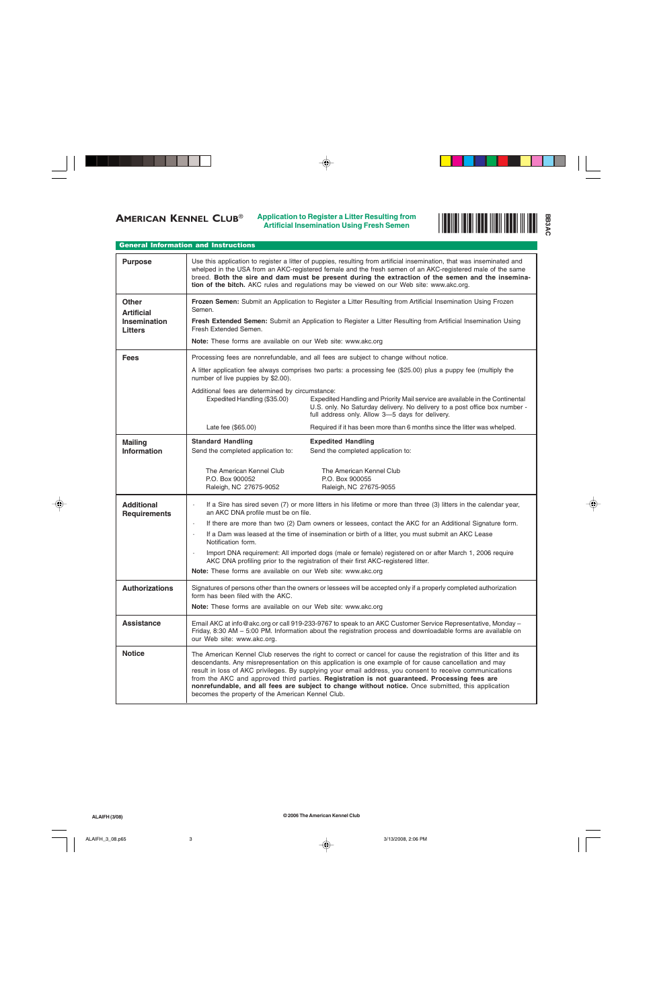

## General Information and Instructions

| <b>Purpose</b>                                               | Use this application to register a litter of puppies, resulting from artificial insemination, that was inseminated and<br>whelped in the USA from an AKC-registered female and the fresh semen of an AKC-registered male of the same<br>breed. Both the sire and dam must be present during the extraction of the semen and the insemina-<br>tion of the bitch. AKC rules and regulations may be viewed on our Web site: www.akc.org.                                                                                                                                                                |                                                                                                                                                                                                                |  |  |  |
|--------------------------------------------------------------|------------------------------------------------------------------------------------------------------------------------------------------------------------------------------------------------------------------------------------------------------------------------------------------------------------------------------------------------------------------------------------------------------------------------------------------------------------------------------------------------------------------------------------------------------------------------------------------------------|----------------------------------------------------------------------------------------------------------------------------------------------------------------------------------------------------------------|--|--|--|
| Other<br><b>Artificial</b><br>Insemination<br><b>Litters</b> | Frozen Semen: Submit an Application to Register a Litter Resulting from Artificial Insemination Using Frozen<br>Semen.<br>Fresh Extended Semen: Submit an Application to Register a Litter Resulting from Artificial Insemination Using<br>Fresh Extended Semen.<br>Note: These forms are available on our Web site: www.akc.org                                                                                                                                                                                                                                                                     |                                                                                                                                                                                                                |  |  |  |
| <b>Fees</b>                                                  | Processing fees are nonrefundable, and all fees are subject to change without notice.                                                                                                                                                                                                                                                                                                                                                                                                                                                                                                                |                                                                                                                                                                                                                |  |  |  |
|                                                              | A litter application fee always comprises two parts: a processing fee (\$25.00) plus a puppy fee (multiply the<br>number of live puppies by \$2.00).                                                                                                                                                                                                                                                                                                                                                                                                                                                 |                                                                                                                                                                                                                |  |  |  |
|                                                              | Additional fees are determined by circumstance:<br>Expedited Handling (\$35.00)                                                                                                                                                                                                                                                                                                                                                                                                                                                                                                                      | Expedited Handling and Priority Mail service are available in the Continental<br>U.S. only. No Saturday delivery. No delivery to a post office box number -<br>full address only. Allow 3-5 days for delivery. |  |  |  |
|                                                              | Late fee (\$65.00)                                                                                                                                                                                                                                                                                                                                                                                                                                                                                                                                                                                   | Required if it has been more than 6 months since the litter was whelped.                                                                                                                                       |  |  |  |
| <b>Mailing</b><br><b>Information</b>                         | <b>Standard Handling</b><br>Send the completed application to:                                                                                                                                                                                                                                                                                                                                                                                                                                                                                                                                       | <b>Expedited Handling</b><br>Send the completed application to:                                                                                                                                                |  |  |  |
|                                                              | The American Kennel Club<br>P.O. Box 900052<br>Raleigh, NC 27675-9052                                                                                                                                                                                                                                                                                                                                                                                                                                                                                                                                | The American Kennel Club<br>P.O. Box 900055<br>Raleigh, NC 27675-9055                                                                                                                                          |  |  |  |
| <b>Additional</b><br><b>Requirements</b>                     | If a Sire has sired seven (7) or more litters in his lifetime or more than three (3) litters in the calendar year,<br>an AKC DNA profile must be on file.                                                                                                                                                                                                                                                                                                                                                                                                                                            |                                                                                                                                                                                                                |  |  |  |
|                                                              | If there are more than two (2) Dam owners or lessees, contact the AKC for an Additional Signature form.<br>$\Box$<br>If a Dam was leased at the time of insemination or birth of a litter, you must submit an AKC Lease                                                                                                                                                                                                                                                                                                                                                                              |                                                                                                                                                                                                                |  |  |  |
|                                                              | Notification form.<br>Import DNA requirement: All imported dogs (male or female) registered on or after March 1, 2006 require<br>AKC DNA profiling prior to the registration of their first AKC-registered litter.<br>Note: These forms are available on our Web site: www.akc.org                                                                                                                                                                                                                                                                                                                   |                                                                                                                                                                                                                |  |  |  |
| <b>Authorizations</b>                                        | Signatures of persons other than the owners or lessees will be accepted only if a properly completed authorization<br>form has been filed with the AKC.<br>Note: These forms are available on our Web site: www.akc.org                                                                                                                                                                                                                                                                                                                                                                              |                                                                                                                                                                                                                |  |  |  |
| <b>Assistance</b>                                            | Email AKC at info@akc.org or call 919-233-9767 to speak to an AKC Customer Service Representative, Monday -<br>Friday, 8:30 AM - 5:00 PM. Information about the registration process and downloadable forms are available on<br>our Web site: www.akc.org.                                                                                                                                                                                                                                                                                                                                           |                                                                                                                                                                                                                |  |  |  |
| <b>Notice</b>                                                | The American Kennel Club reserves the right to correct or cancel for cause the registration of this litter and its<br>descendants. Any misrepresentation on this application is one example of for cause cancellation and may<br>result in loss of AKC privileges. By supplying your email address, you consent to receive communications<br>from the AKC and approved third parties. Registration is not guaranteed. Processing fees are<br>nonrefundable, and all fees are subject to change without notice. Once submitted, this application<br>becomes the property of the American Kennel Club. |                                                                                                                                                                                                                |  |  |  |